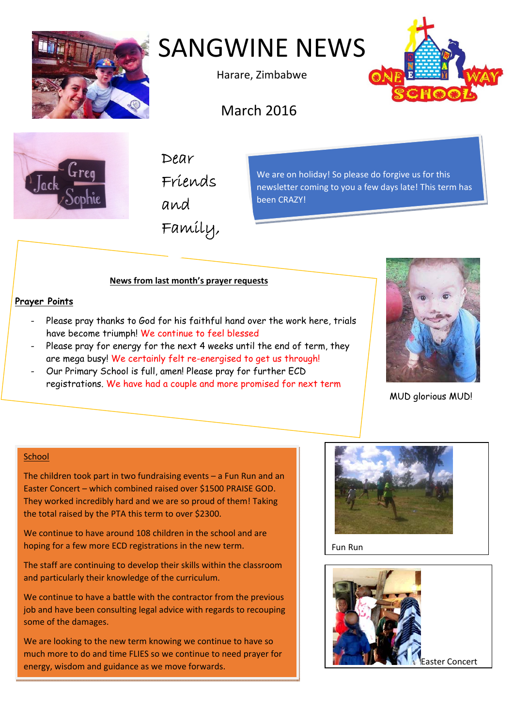

# SANGWINE NEWS

Harare, Zimbabwe



# March 2016



Dear Friends and

Family,

We are on holiday! So please do forgive us for this newsletter coming to you a few days late! This term has been CRAZY!

### **News from last month's prayer requests**

#### **Prayer Points**

- Please pray thanks to God for his faithful hand over the work here, trials have become triumph! We continue to feel blessed
- Please pray for energy for the next 4 weeks until the end of term, they are mega busy! We certainly felt re-energised to get us through!
- Our Primary School is full, amen! Please pray for further ECD registrations. We have had a couple and more promised for next term



MUD glorious MUD!

### **School**

The children took part in two fundraising events – a Fun Run and an Easter Concert – which combined raised over \$1500 PRAISE GOD. They worked incredibly hard and we are so proud of them! Taking the total raised by the PTA this term to over \$2300.

We continue to have around 108 children in the school and are hoping for a few more ECD registrations in the new term.

The staff are continuing to develop their skills within the classroom and particularly their knowledge of the curriculum.

We continue to have a battle with the contractor from the previous job and have been consulting legal advice with regards to recouping some of the damages.

We are looking to the new term knowing we continue to have so much more to do and time FLIES so we continue to need prayer for energy, wisdom and guidance as we move forwards.



Fun Run